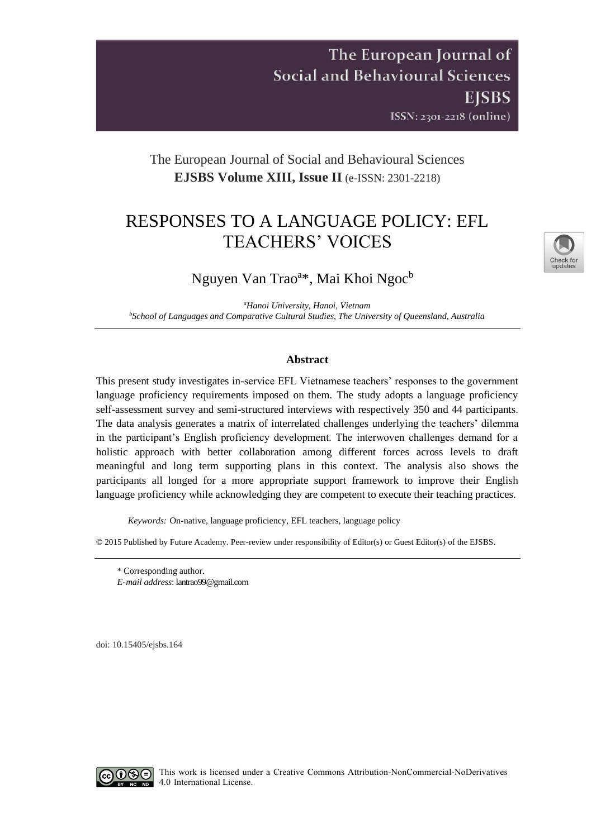The European Journal of **Social and Behavioural Sciences EISBS** ISSN: 2301-2218 (online)

# The European Journal of Social and Behavioural Sciences **EJSBS Volume XIII, Issue II** (e-ISSN: 2301-2218)

# RESPONSES TO A LANGUAGE POLICY: EFL TEACHERS' VOICES



# Nguyen Van Trao<sup>a\*</sup>, Mai Khoi Ngoc<sup>b</sup>

*<sup>a</sup>Hanoi University, Hanoi, Vietnam <sup>b</sup>School of Languages and Comparative Cultural Studies, The University of Queensland, Australia*

#### **Abstract**

This present study investigates in-service EFL Vietnamese teachers' responses to the government language proficiency requirements imposed on them. The study adopts a language proficiency self-assessment survey and semi-structured interviews with respectively 350 and 44 participants. The data analysis generates a matrix of interrelated challenges underlying the teachers' dilemma in the participant's English proficiency development. The interwoven challenges demand for a holistic approach with better collaboration among different forces across levels to draft meaningful and long term supporting plans in this context. The analysis also shows the participants all longed for a more appropriate support framework to improve their English language proficiency while acknowledging they are competent to execute their teaching practices.

*Keywords:* On-native, language proficiency, EFL teachers, language policy

© 2015 Published by Future Academy. Peer-review under responsibility of Editor(s) or Guest Editor(s) of the EJSBS.

\* Corresponding author. *E-mail address*: lantrao99@gmail.com

doi: [10.15405/ejsbs.164](https://doi.org/10.15405/ejsbs.164)

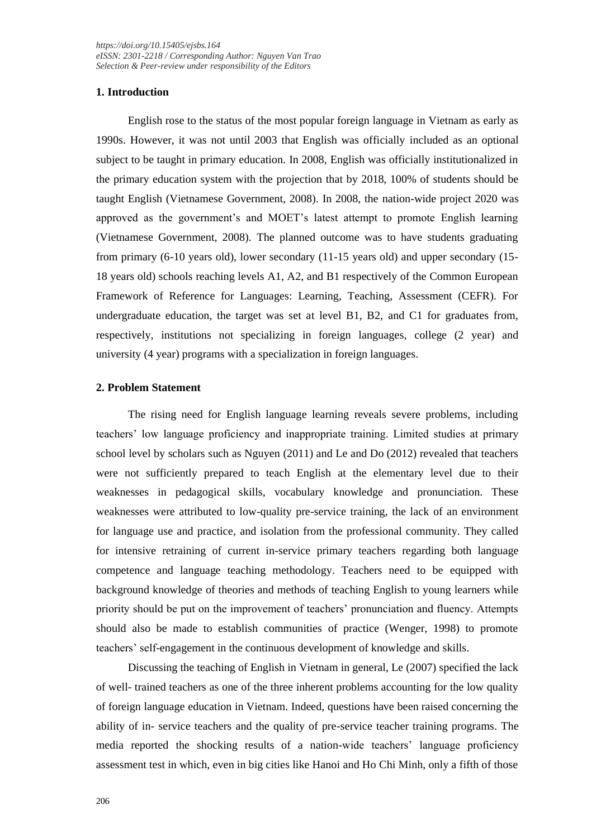#### **1. Introduction**

English rose to the status of the most popular foreign language in Vietnam as early as 1990s. However, it was not until 2003 that English was officially included as an optional subject to be taught in primary education. In 2008, English was officially institutionalized in the primary education system with the projection that by 2018, 100% of students should be taught English (Vietnamese Government, 2008). In 2008, the nation-wide project 2020 was approved as the government's and MOET's latest attempt to promote English learning (Vietnamese Government, 2008). The planned outcome was to have students graduating from primary (6-10 years old), lower secondary (11-15 years old) and upper secondary (15- 18 years old) schools reaching levels A1, A2, and B1 respectively of the Common European Framework of Reference for Languages: Learning, Teaching, Assessment (CEFR). For undergraduate education, the target was set at level B1, B2, and C1 for graduates from, respectively, institutions not specializing in foreign languages, college (2 year) and university (4 year) programs with a specialization in foreign languages.

#### **2. Problem Statement**

The rising need for English language learning reveals severe problems, including teachers' low language proficiency and inappropriate training. Limited studies at primary school level by scholars such as Nguyen (2011) and Le and Do (2012) revealed that teachers were not sufficiently prepared to teach English at the elementary level due to their weaknesses in pedagogical skills, vocabulary knowledge and pronunciation. These weaknesses were attributed to low-quality pre-service training, the lack of an environment for language use and practice, and isolation from the professional community. They called for intensive retraining of current in-service primary teachers regarding both language competence and language teaching methodology. Teachers need to be equipped with background knowledge of theories and methods of teaching English to young learners while priority should be put on the improvement of teachers' pronunciation and fluency. Attempts should also be made to establish communities of practice (Wenger, 1998) to promote teachers' self-engagement in the continuous development of knowledge and skills.

Discussing the teaching of English in Vietnam in general, Le (2007) specified the lack of well- trained teachers as one of the three inherent problems accounting for the low quality of foreign language education in Vietnam. Indeed, questions have been raised concerning the ability of in- service teachers and the quality of pre-service teacher training programs. The media reported the shocking results of a nation-wide teachers' language proficiency assessment test in which, even in big cities like Hanoi and Ho Chi Minh, only a fifth of those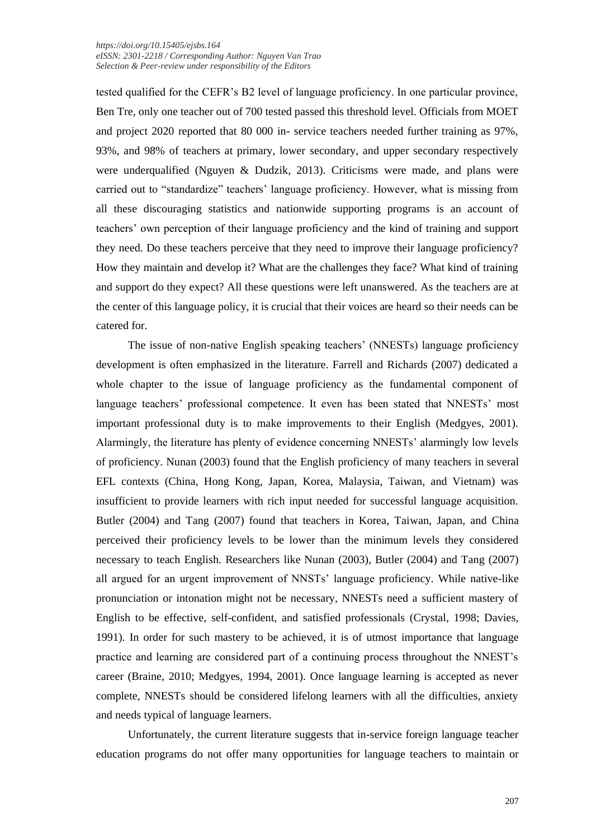tested qualified for the CEFR's B2 level of language proficiency. In one particular province, Ben Tre, only one teacher out of 700 tested passed this threshold level. Officials from MOET and project 2020 reported that 80 000 in- service teachers needed further training as 97%, 93%, and 98% of teachers at primary, lower secondary, and upper secondary respectively were underqualified (Nguyen & Dudzik, 2013). Criticisms were made, and plans were carried out to "standardize" teachers' language proficiency. However, what is missing from all these discouraging statistics and nationwide supporting programs is an account of teachers' own perception of their language proficiency and the kind of training and support they need. Do these teachers perceive that they need to improve their language proficiency? How they maintain and develop it? What are the challenges they face? What kind of training and support do they expect? All these questions were left unanswered. As the teachers are at the center of this language policy, it is crucial that their voices are heard so their needs can be catered for.

The issue of non-native English speaking teachers' (NNESTs) language proficiency development is often emphasized in the literature. Farrell and Richards (2007) dedicated a whole chapter to the issue of language proficiency as the fundamental component of language teachers' professional competence. It even has been stated that NNESTs' most important professional duty is to make improvements to their English (Medgyes, 2001). Alarmingly, the literature has plenty of evidence concerning NNESTs' alarmingly low levels of proficiency. Nunan (2003) found that the English proficiency of many teachers in several EFL contexts (China, Hong Kong, Japan, Korea, Malaysia, Taiwan, and Vietnam) was insufficient to provide learners with rich input needed for successful language acquisition. Butler (2004) and Tang (2007) found that teachers in Korea, Taiwan, Japan, and China perceived their proficiency levels to be lower than the minimum levels they considered necessary to teach English. Researchers like Nunan (2003), Butler (2004) and Tang (2007) all argued for an urgent improvement of NNSTs' language proficiency. While native-like pronunciation or intonation might not be necessary, NNESTs need a sufficient mastery of English to be effective, self-confident, and satisfied professionals (Crystal, 1998; Davies, 1991). In order for such mastery to be achieved, it is of utmost importance that language practice and learning are considered part of a continuing process throughout the NNEST's career (Braine, 2010; Medgyes, 1994, 2001). Once language learning is accepted as never complete, NNESTs should be considered lifelong learners with all the difficulties, anxiety and needs typical of language learners.

Unfortunately, the current literature suggests that in-service foreign language teacher education programs do not offer many opportunities for language teachers to maintain or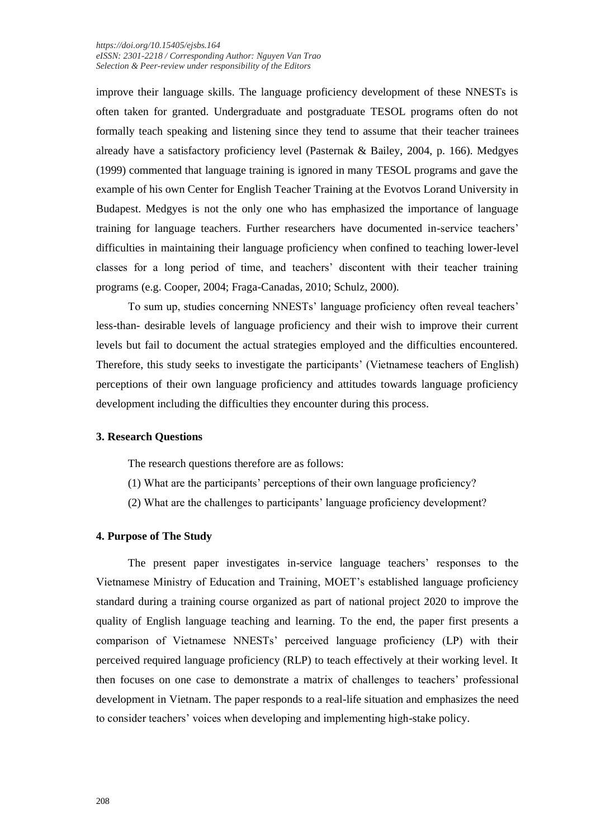improve their language skills. The language proficiency development of these NNESTs is often taken for granted. Undergraduate and postgraduate TESOL programs often do not formally teach speaking and listening since they tend to assume that their teacher trainees already have a satisfactory proficiency level (Pasternak & Bailey, 2004, p. 166). Medgyes (1999) commented that language training is ignored in many TESOL programs and gave the example of his own Center for English Teacher Training at the Evotvos Lorand University in Budapest. Medgyes is not the only one who has emphasized the importance of language training for language teachers. Further researchers have documented in-service teachers' difficulties in maintaining their language proficiency when confined to teaching lower-level classes for a long period of time, and teachers' discontent with their teacher training programs (e.g. Cooper, 2004; Fraga-Canadas, 2010; Schulz, 2000).

To sum up, studies concerning NNESTs' language proficiency often reveal teachers' less-than- desirable levels of language proficiency and their wish to improve their current levels but fail to document the actual strategies employed and the difficulties encountered. Therefore, this study seeks to investigate the participants' (Vietnamese teachers of English) perceptions of their own language proficiency and attitudes towards language proficiency development including the difficulties they encounter during this process.

#### **3. Research Questions**

The research questions therefore are as follows:

- (1) What are the participants' perceptions of their own language proficiency?
- (2) What are the challenges to participants' language proficiency development?

#### **4. Purpose of The Study**

The present paper investigates in-service language teachers' responses to the Vietnamese Ministry of Education and Training, MOET's established language proficiency standard during a training course organized as part of national project 2020 to improve the quality of English language teaching and learning. To the end, the paper first presents a comparison of Vietnamese NNESTs' perceived language proficiency (LP) with their perceived required language proficiency (RLP) to teach effectively at their working level. It then focuses on one case to demonstrate a matrix of challenges to teachers' professional development in Vietnam. The paper responds to a real-life situation and emphasizes the need to consider teachers' voices when developing and implementing high-stake policy.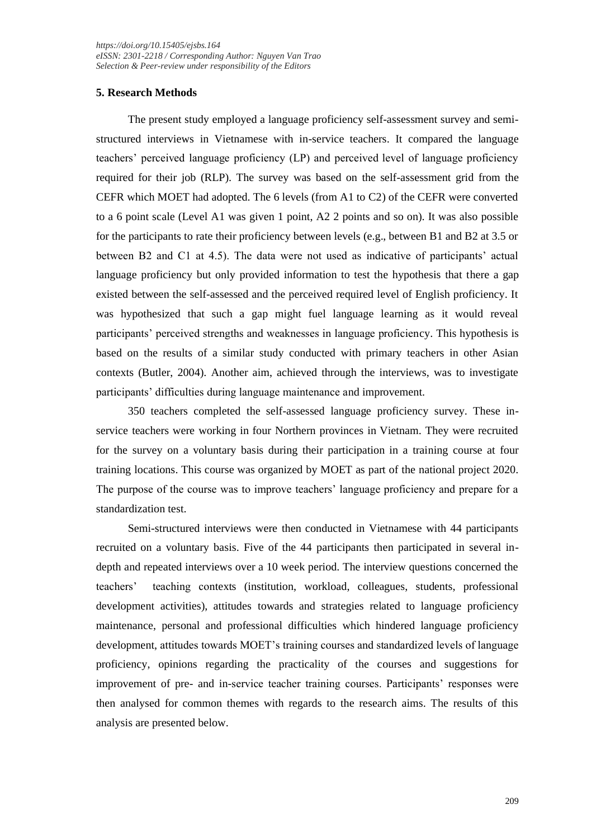# **5. Research Methods**

The present study employed a language proficiency self-assessment survey and semistructured interviews in Vietnamese with in-service teachers. It compared the language teachers' perceived language proficiency (LP) and perceived level of language proficiency required for their job (RLP). The survey was based on the self-assessment grid from the CEFR which MOET had adopted. The 6 levels (from A1 to C2) of the CEFR were converted to a 6 point scale (Level A1 was given 1 point, A2 2 points and so on). It was also possible for the participants to rate their proficiency between levels (e.g., between B1 and B2 at 3.5 or between B2 and C1 at 4.5). The data were not used as indicative of participants' actual language proficiency but only provided information to test the hypothesis that there a gap existed between the self-assessed and the perceived required level of English proficiency. It was hypothesized that such a gap might fuel language learning as it would reveal participants' perceived strengths and weaknesses in language proficiency. This hypothesis is based on the results of a similar study conducted with primary teachers in other Asian contexts (Butler, 2004). Another aim, achieved through the interviews, was to investigate participants' difficulties during language maintenance and improvement.

350 teachers completed the self-assessed language proficiency survey. These inservice teachers were working in four Northern provinces in Vietnam. They were recruited for the survey on a voluntary basis during their participation in a training course at four training locations. This course was organized by MOET as part of the national project 2020. The purpose of the course was to improve teachers' language proficiency and prepare for a standardization test.

Semi-structured interviews were then conducted in Vietnamese with 44 participants recruited on a voluntary basis. Five of the 44 participants then participated in several indepth and repeated interviews over a 10 week period. The interview questions concerned the teachers' teaching contexts (institution, workload, colleagues, students, professional development activities), attitudes towards and strategies related to language proficiency maintenance, personal and professional difficulties which hindered language proficiency development, attitudes towards MOET's training courses and standardized levels of language proficiency, opinions regarding the practicality of the courses and suggestions for improvement of pre- and in-service teacher training courses. Participants' responses were then analysed for common themes with regards to the research aims. The results of this analysis are presented below.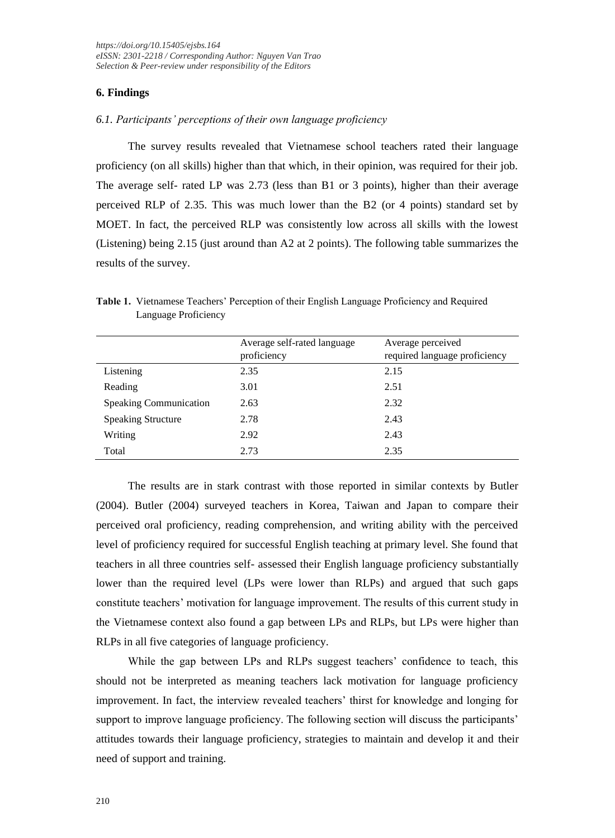## **6. Findings**

#### *6.1. Participants' perceptions of their own language proficiency*

The survey results revealed that Vietnamese school teachers rated their language proficiency (on all skills) higher than that which, in their opinion, was required for their job. The average self- rated LP was 2.73 (less than B1 or 3 points), higher than their average perceived RLP of 2.35. This was much lower than the B2 (or 4 points) standard set by MOET. In fact, the perceived RLP was consistently low across all skills with the lowest (Listening) being 2.15 (just around than A2 at 2 points). The following table summarizes the results of the survey.

|                               | Average self-rated language<br>proficiency | Average perceived<br>required language proficiency |
|-------------------------------|--------------------------------------------|----------------------------------------------------|
| Listening                     | 2.35                                       | 2.15                                               |
| Reading                       | 3.01                                       | 2.51                                               |
| <b>Speaking Communication</b> | 2.63                                       | 2.32                                               |
| <b>Speaking Structure</b>     | 2.78                                       | 2.43                                               |
| Writing                       | 2.92                                       | 2.43                                               |
| Total                         | 2.73                                       | 2.35                                               |

**Table 1.** Vietnamese Teachers' Perception of their English Language Proficiency and Required Language Proficiency

The results are in stark contrast with those reported in similar contexts by Butler (2004). Butler (2004) surveyed teachers in Korea, Taiwan and Japan to compare their perceived oral proficiency, reading comprehension, and writing ability with the perceived level of proficiency required for successful English teaching at primary level. She found that teachers in all three countries self- assessed their English language proficiency substantially lower than the required level (LPs were lower than RLPs) and argued that such gaps constitute teachers' motivation for language improvement. The results of this current study in the Vietnamese context also found a gap between LPs and RLPs, but LPs were higher than RLPs in all five categories of language proficiency.

While the gap between LPs and RLPs suggest teachers' confidence to teach, this should not be interpreted as meaning teachers lack motivation for language proficiency improvement. In fact, the interview revealed teachers' thirst for knowledge and longing for support to improve language proficiency. The following section will discuss the participants' attitudes towards their language proficiency, strategies to maintain and develop it and their need of support and training.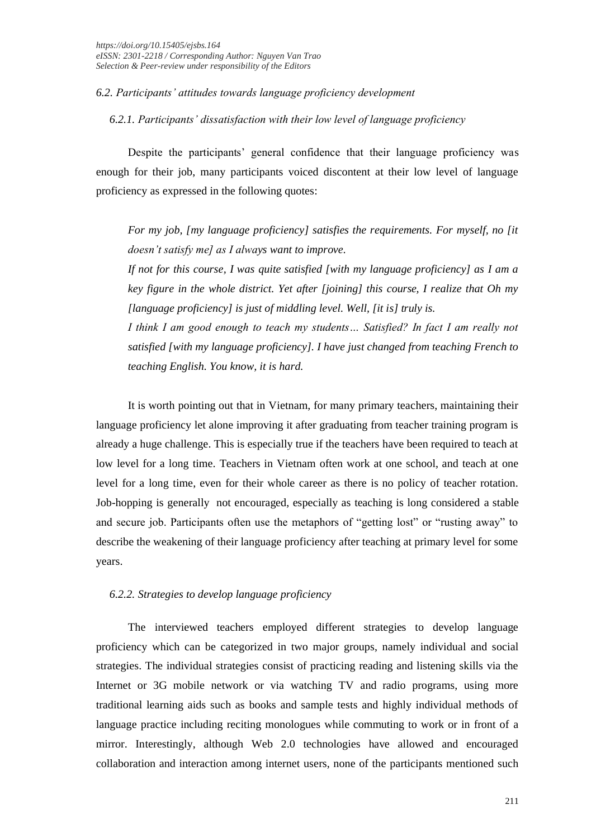# *6.2. Participants' attitudes towards language proficiency development*

# *6.2.1. Participants' dissatisfaction with their low level of language proficiency*

Despite the participants' general confidence that their language proficiency was enough for their job, many participants voiced discontent at their low level of language proficiency as expressed in the following quotes:

*For my job, [my language proficiency] satisfies the requirements. For myself, no [it doesn't satisfy me] as I always want to improve.*

*If not for this course, I was quite satisfied [with my language proficiency] as I am a key figure in the whole district. Yet after [joining] this course, I realize that Oh my [language proficiency] is just of middling level. Well, [it is] truly is.*

*I think I am good enough to teach my students… Satisfied? In fact I am really not satisfied [with my language proficiency]. I have just changed from teaching French to teaching English. You know, it is hard.*

It is worth pointing out that in Vietnam, for many primary teachers, maintaining their language proficiency let alone improving it after graduating from teacher training program is already a huge challenge. This is especially true if the teachers have been required to teach at low level for a long time. Teachers in Vietnam often work at one school, and teach at one level for a long time, even for their whole career as there is no policy of teacher rotation. Job-hopping is generally not encouraged, especially as teaching is long considered a stable and secure job. Participants often use the metaphors of "getting lost" or "rusting away" to describe the weakening of their language proficiency after teaching at primary level for some years.

# *6.2.2. Strategies to develop language proficiency*

The interviewed teachers employed different strategies to develop language proficiency which can be categorized in two major groups, namely individual and social strategies. The individual strategies consist of practicing reading and listening skills via the Internet or 3G mobile network or via watching TV and radio programs, using more traditional learning aids such as books and sample tests and highly individual methods of language practice including reciting monologues while commuting to work or in front of a mirror. Interestingly, although Web 2.0 technologies have allowed and encouraged collaboration and interaction among internet users, none of the participants mentioned such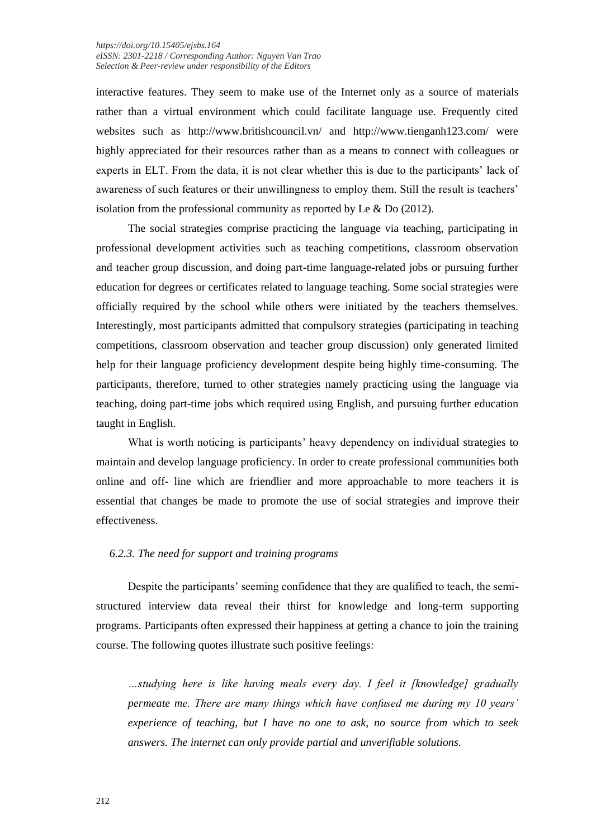interactive features. They seem to make use of the Internet only as a source of materials rather than a virtual environment which could facilitate language use. Frequently cited websites such as http://www.britishcouncil.vn/ and http://www.tienganh123.com/ were highly appreciated for their resources rather than as a means to connect with colleagues or experts in ELT. From the data, it is not clear whether this is due to the participants' lack of awareness of such features or their unwillingness to employ them. Still the result is teachers' isolation from the professional community as reported by Le  $&$  Do (2012).

The social strategies comprise practicing the language via teaching, participating in professional development activities such as teaching competitions, classroom observation and teacher group discussion, and doing part-time language-related jobs or pursuing further education for degrees or certificates related to language teaching. Some social strategies were officially required by the school while others were initiated by the teachers themselves. Interestingly, most participants admitted that compulsory strategies (participating in teaching competitions, classroom observation and teacher group discussion) only generated limited help for their language proficiency development despite being highly time-consuming. The participants, therefore, turned to other strategies namely practicing using the language via teaching, doing part-time jobs which required using English, and pursuing further education taught in English.

What is worth noticing is participants' heavy dependency on individual strategies to maintain and develop language proficiency. In order to create professional communities both online and off- line which are friendlier and more approachable to more teachers it is essential that changes be made to promote the use of social strategies and improve their effectiveness.

#### *6.2.3. The need for support and training programs*

Despite the participants' seeming confidence that they are qualified to teach, the semistructured interview data reveal their thirst for knowledge and long-term supporting programs. Participants often expressed their happiness at getting a chance to join the training course. The following quotes illustrate such positive feelings:

*…studying here is like having meals every day. I feel it [knowledge] gradually permeate me. There are many things which have confused me during my 10 years' experience of teaching, but I have no one to ask, no source from which to seek answers. The internet can only provide partial and unverifiable solutions.*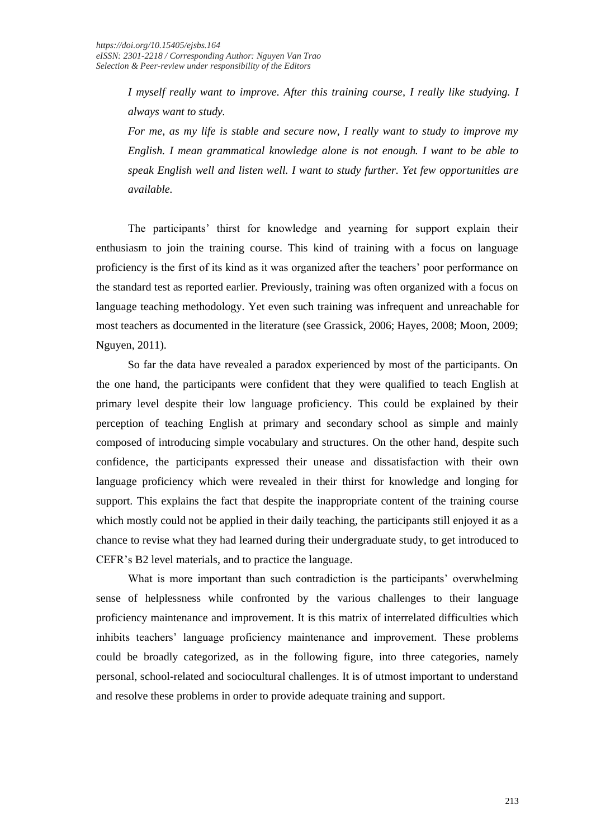*I* myself really want to improve. After this training course, *I really like studying. I always want to study.*

*For me, as my life is stable and secure now, I really want to study to improve my English. I mean grammatical knowledge alone is not enough. I want to be able to speak English well and listen well. I want to study further. Yet few opportunities are available.*

The participants' thirst for knowledge and yearning for support explain their enthusiasm to join the training course. This kind of training with a focus on language proficiency is the first of its kind as it was organized after the teachers' poor performance on the standard test as reported earlier. Previously, training was often organized with a focus on language teaching methodology. Yet even such training was infrequent and unreachable for most teachers as documented in the literature (see Grassick, 2006; Hayes, 2008; Moon, 2009; Nguyen, 2011).

So far the data have revealed a paradox experienced by most of the participants. On the one hand, the participants were confident that they were qualified to teach English at primary level despite their low language proficiency. This could be explained by their perception of teaching English at primary and secondary school as simple and mainly composed of introducing simple vocabulary and structures. On the other hand, despite such confidence, the participants expressed their unease and dissatisfaction with their own language proficiency which were revealed in their thirst for knowledge and longing for support. This explains the fact that despite the inappropriate content of the training course which mostly could not be applied in their daily teaching, the participants still enjoyed it as a chance to revise what they had learned during their undergraduate study, to get introduced to CEFR's B2 level materials, and to practice the language.

What is more important than such contradiction is the participants' overwhelming sense of helplessness while confronted by the various challenges to their language proficiency maintenance and improvement. It is this matrix of interrelated difficulties which inhibits teachers' language proficiency maintenance and improvement. These problems could be broadly categorized, as in the following figure, into three categories, namely personal, school-related and sociocultural challenges. It is of utmost important to understand and resolve these problems in order to provide adequate training and support.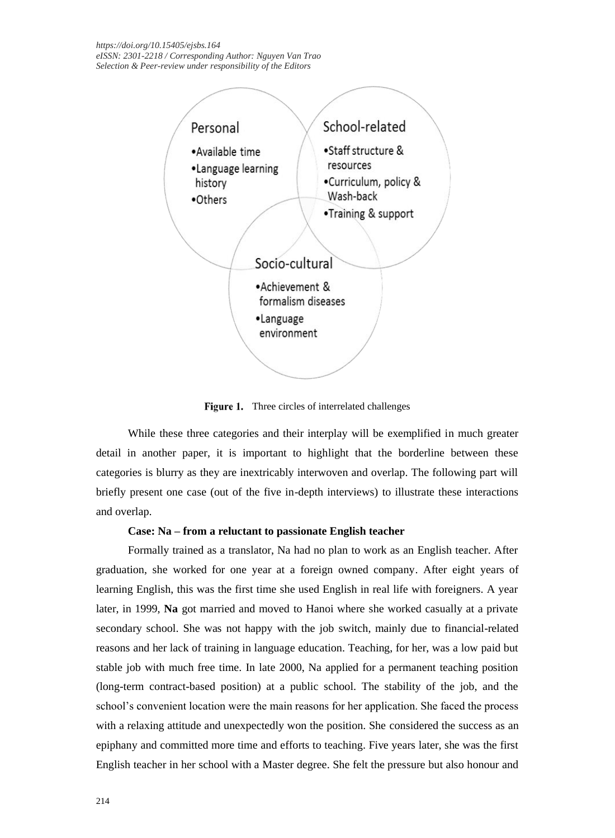*<https://doi.org/10.15405/ejsbs.164> eISSN: 2301-2218 / Corresponding Author: Nguyen Van Trao Selection & Peer-review under responsibility of the Editors*



Figure 1. Three circles of interrelated challenges

While these three categories and their interplay will be exemplified in much greater detail in another paper, it is important to highlight that the borderline between these categories is blurry as they are inextricably interwoven and overlap. The following part will briefly present one case (out of the five in-depth interviews) to illustrate these interactions and overlap.

#### **Case: Na – from a reluctant to passionate English teacher**

Formally trained as a translator, Na had no plan to work as an English teacher. After graduation, she worked for one year at a foreign owned company. After eight years of learning English, this was the first time she used English in real life with foreigners. A year later, in 1999, **Na** got married and moved to Hanoi where she worked casually at a private secondary school. She was not happy with the job switch, mainly due to financial-related reasons and her lack of training in language education. Teaching, for her, was a low paid but stable job with much free time. In late 2000, Na applied for a permanent teaching position (long-term contract-based position) at a public school. The stability of the job, and the school's convenient location were the main reasons for her application. She faced the process with a relaxing attitude and unexpectedly won the position. She considered the success as an epiphany and committed more time and efforts to teaching. Five years later, she was the first English teacher in her school with a Master degree. She felt the pressure but also honour and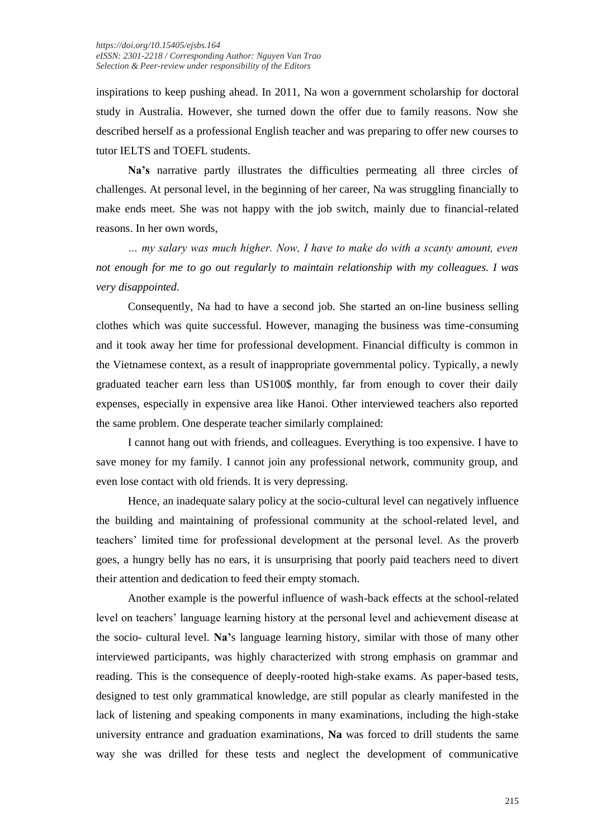inspirations to keep pushing ahead. In 2011, Na won a government scholarship for doctoral study in Australia. However, she turned down the offer due to family reasons. Now she described herself as a professional English teacher and was preparing to offer new courses to tutor IELTS and TOEFL students.

**Na's** narrative partly illustrates the difficulties permeating all three circles of challenges. At personal level, in the beginning of her career, Na was struggling financially to make ends meet. She was not happy with the job switch, mainly due to financial-related reasons. In her own words,

*… my salary was much higher. Now, I have to make do with a scanty amount, even not enough for me to go out regularly to maintain relationship with my colleagues. I was very disappointed.*

Consequently, Na had to have a second job. She started an on-line business selling clothes which was quite successful. However, managing the business was time-consuming and it took away her time for professional development. Financial difficulty is common in the Vietnamese context, as a result of inappropriate governmental policy. Typically, a newly graduated teacher earn less than US100\$ monthly, far from enough to cover their daily expenses, especially in expensive area like Hanoi. Other interviewed teachers also reported the same problem. One desperate teacher similarly complained:

I cannot hang out with friends, and colleagues. Everything is too expensive. I have to save money for my family. I cannot join any professional network, community group, and even lose contact with old friends. It is very depressing.

Hence, an inadequate salary policy at the socio-cultural level can negatively influence the building and maintaining of professional community at the school-related level, and teachers' limited time for professional development at the personal level. As the proverb goes, a hungry belly has no ears, it is unsurprising that poorly paid teachers need to divert their attention and dedication to feed their empty stomach.

Another example is the powerful influence of wash-back effects at the school-related level on teachers' language learning history at the personal level and achievement disease at the socio- cultural level. **Na'**s language learning history, similar with those of many other interviewed participants, was highly characterized with strong emphasis on grammar and reading. This is the consequence of deeply-rooted high-stake exams. As paper-based tests, designed to test only grammatical knowledge, are still popular as clearly manifested in the lack of listening and speaking components in many examinations, including the high-stake university entrance and graduation examinations, **Na** was forced to drill students the same way she was drilled for these tests and neglect the development of communicative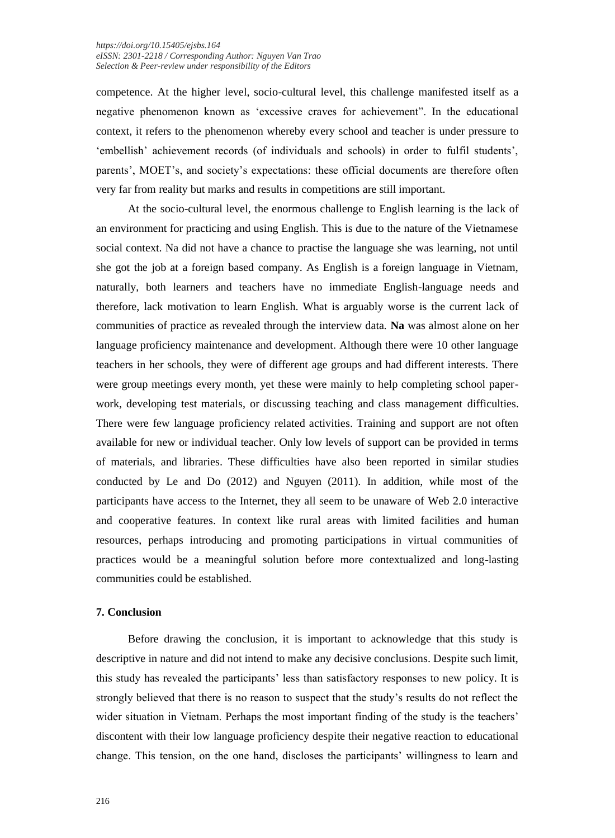competence. At the higher level, socio-cultural level, this challenge manifested itself as a negative phenomenon known as 'excessive craves for achievement". In the educational context, it refers to the phenomenon whereby every school and teacher is under pressure to 'embellish' achievement records (of individuals and schools) in order to fulfil students', parents', MOET's, and society's expectations: these official documents are therefore often very far from reality but marks and results in competitions are still important.

At the socio-cultural level, the enormous challenge to English learning is the lack of an environment for practicing and using English. This is due to the nature of the Vietnamese social context. Na did not have a chance to practise the language she was learning, not until she got the job at a foreign based company. As English is a foreign language in Vietnam, naturally, both learners and teachers have no immediate English-language needs and therefore, lack motivation to learn English. What is arguably worse is the current lack of communities of practice as revealed through the interview data. **Na** was almost alone on her language proficiency maintenance and development. Although there were 10 other language teachers in her schools, they were of different age groups and had different interests. There were group meetings every month, yet these were mainly to help completing school paperwork, developing test materials, or discussing teaching and class management difficulties. There were few language proficiency related activities. Training and support are not often available for new or individual teacher. Only low levels of support can be provided in terms of materials, and libraries. These difficulties have also been reported in similar studies conducted by Le and Do (2012) and Nguyen (2011). In addition, while most of the participants have access to the Internet, they all seem to be unaware of Web 2.0 interactive and cooperative features. In context like rural areas with limited facilities and human resources, perhaps introducing and promoting participations in virtual communities of practices would be a meaningful solution before more contextualized and long-lasting communities could be established.

## **7. Conclusion**

Before drawing the conclusion, it is important to acknowledge that this study is descriptive in nature and did not intend to make any decisive conclusions. Despite such limit, this study has revealed the participants' less than satisfactory responses to new policy. It is strongly believed that there is no reason to suspect that the study's results do not reflect the wider situation in Vietnam. Perhaps the most important finding of the study is the teachers' discontent with their low language proficiency despite their negative reaction to educational change. This tension, on the one hand, discloses the participants' willingness to learn and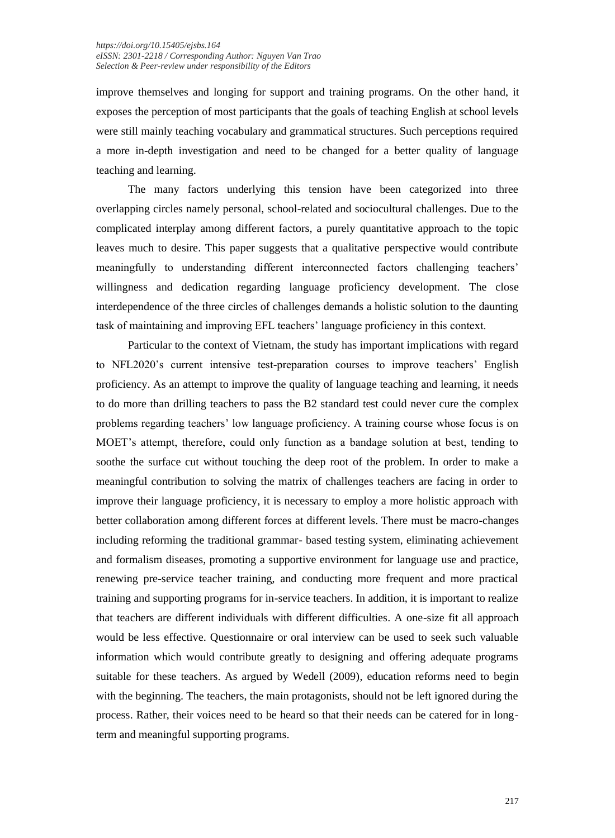improve themselves and longing for support and training programs. On the other hand, it exposes the perception of most participants that the goals of teaching English at school levels were still mainly teaching vocabulary and grammatical structures. Such perceptions required a more in-depth investigation and need to be changed for a better quality of language teaching and learning.

The many factors underlying this tension have been categorized into three overlapping circles namely personal, school-related and sociocultural challenges. Due to the complicated interplay among different factors, a purely quantitative approach to the topic leaves much to desire. This paper suggests that a qualitative perspective would contribute meaningfully to understanding different interconnected factors challenging teachers' willingness and dedication regarding language proficiency development. The close interdependence of the three circles of challenges demands a holistic solution to the daunting task of maintaining and improving EFL teachers' language proficiency in this context.

Particular to the context of Vietnam, the study has important implications with regard to NFL2020's current intensive test-preparation courses to improve teachers' English proficiency. As an attempt to improve the quality of language teaching and learning, it needs to do more than drilling teachers to pass the B2 standard test could never cure the complex problems regarding teachers' low language proficiency. A training course whose focus is on MOET's attempt, therefore, could only function as a bandage solution at best, tending to soothe the surface cut without touching the deep root of the problem. In order to make a meaningful contribution to solving the matrix of challenges teachers are facing in order to improve their language proficiency, it is necessary to employ a more holistic approach with better collaboration among different forces at different levels. There must be macro-changes including reforming the traditional grammar- based testing system, eliminating achievement and formalism diseases, promoting a supportive environment for language use and practice, renewing pre-service teacher training, and conducting more frequent and more practical training and supporting programs for in-service teachers. In addition, it is important to realize that teachers are different individuals with different difficulties. A one-size fit all approach would be less effective. Questionnaire or oral interview can be used to seek such valuable information which would contribute greatly to designing and offering adequate programs suitable for these teachers. As argued by Wedell (2009), education reforms need to begin with the beginning. The teachers, the main protagonists, should not be left ignored during the process. Rather, their voices need to be heard so that their needs can be catered for in longterm and meaningful supporting programs.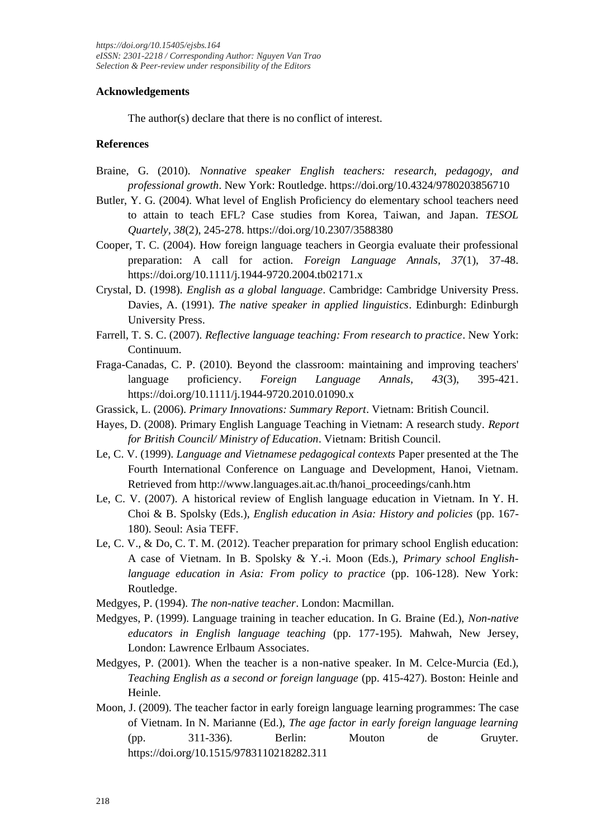# **Acknowledgements**

The author(s) declare that there is no conflict of interest.

# **References**

- Braine, G. (2010). *Nonnative speaker English teachers: research, pedagogy, and professional growth*. New York: Routledge. https://doi.org/10.4324/9780203856710
- Butler, Y. G. (2004). What level of English Proficiency do elementary school teachers need to attain to teach EFL? Case studies from Korea, Taiwan, and Japan. *TESOL Quartely, 38*(2), 245-278. https://doi.org/10.2307/3588380
- Cooper, T. C. (2004). How foreign language teachers in Georgia evaluate their professional preparation: A call for action. *Foreign Language Annals, 37*(1), 37-48. https://doi.org/10.1111/j.1944-9720.2004.tb02171.x
- Crystal, D. (1998). *English as a global language*. Cambridge: Cambridge University Press. Davies, A. (1991). *The native speaker in applied linguistics*. Edinburgh: Edinburgh University Press.
- Farrell, T. S. C. (2007). *Reflective language teaching: From research to practice*. New York: Continuum.
- Fraga-Canadas, C. P. (2010). Beyond the classroom: maintaining and improving teachers' language proficiency. *Foreign Language Annals, 43*(3), 395-421. https://doi.org/10.1111/j.1944-9720.2010.01090.x
- Grassick, L. (2006). *Primary Innovations: Summary Report*. Vietnam: British Council.
- Hayes, D. (2008). Primary English Language Teaching in Vietnam: A research study. *Report for British Council/ Ministry of Education*. Vietnam: British Council.
- Le, C. V. (1999). *Language and Vietnamese pedagogical contexts* Paper presented at the The Fourth International Conference on Language and Development, Hanoi, Vietnam. Retrieved from http://www.languages.ait.ac.th/hanoi\_proceedings/canh.htm
- Le, C. V. (2007). A historical review of English language education in Vietnam. In Y. H. Choi & B. Spolsky (Eds.), *English education in Asia: History and policies* (pp. 167- 180). Seoul: Asia TEFF.
- Le, C. V., & Do, C. T. M. (2012). Teacher preparation for primary school English education: A case of Vietnam. In B. Spolsky & Y.-i. Moon (Eds.), *Primary school Englishlanguage education in Asia: From policy to practice* (pp. 106-128). New York: Routledge.
- Medgyes, P. (1994). *The non-native teacher*. London: Macmillan.
- Medgyes, P. (1999). Language training in teacher education. In G. Braine (Ed.), *Non-native educators in English language teaching* (pp. 177-195). Mahwah, New Jersey, London: Lawrence Erlbaum Associates.
- Medgyes, P. (2001). When the teacher is a non-native speaker. In M. Celce-Murcia (Ed.), *Teaching English as a second or foreign language* (pp. 415-427). Boston: Heinle and Heinle.
- Moon, J. (2009). The teacher factor in early foreign language learning programmes: The case of Vietnam. In N. Marianne (Ed.), *The age factor in early foreign language learning*  (pp. 311-336). Berlin: Mouton de Gruyter. https://doi.org/10.1515/9783110218282.311